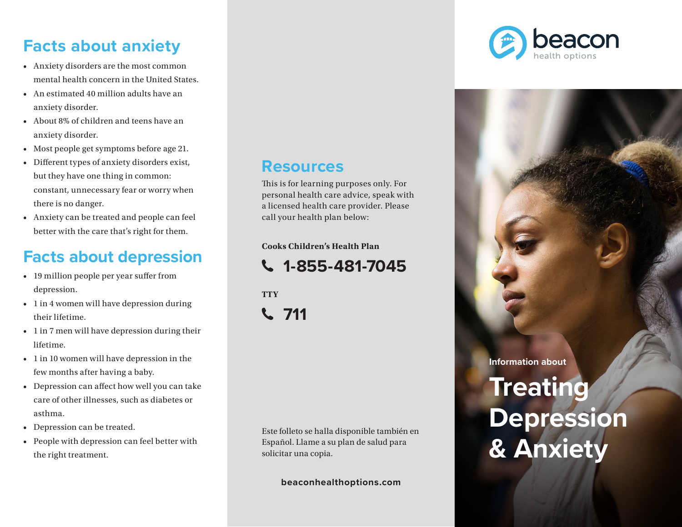## **Facts about anxiety**

- Anxiety disorders are the most common mental health concern in the United States.
- An estimated 40 million adults have an anxiety disorder.
- About 8% of children and teens have an anxiety disorder.
- Most people get symptoms before age 21.
- Different types of anxiety disorders exist, but they have one thing in common: constant, unnecessary fear or worry when there is no danger.
- Anxiety can be treated and people can feel better with the care that's right for them.

## **Facts about depression**

- 19 million people per year suffer from depression.
- 1 in 4 women will have depression during their lifetime.
- 1 in 7 men will have depression during their lifetime.
- 1 in 10 women will have depression in the few months after having a baby.
- Depression can affect how well you can take care of other illnesses, such as diabetes or asthma.
- Depression can be treated.
- People with depression can feel better with the right treatment.

#### **Resources**

This is for learning purposes only. For personal health care advice, speak with a licensed health care provider. Please call your health plan below:

**Cooks Children's Health Plan**

**1-855-481-7045**

**TTY 711**

Este folleto se halla disponible también en Español. Llame a su plan de salud para solicitar una copia.

**beaconhealthoptions.com**